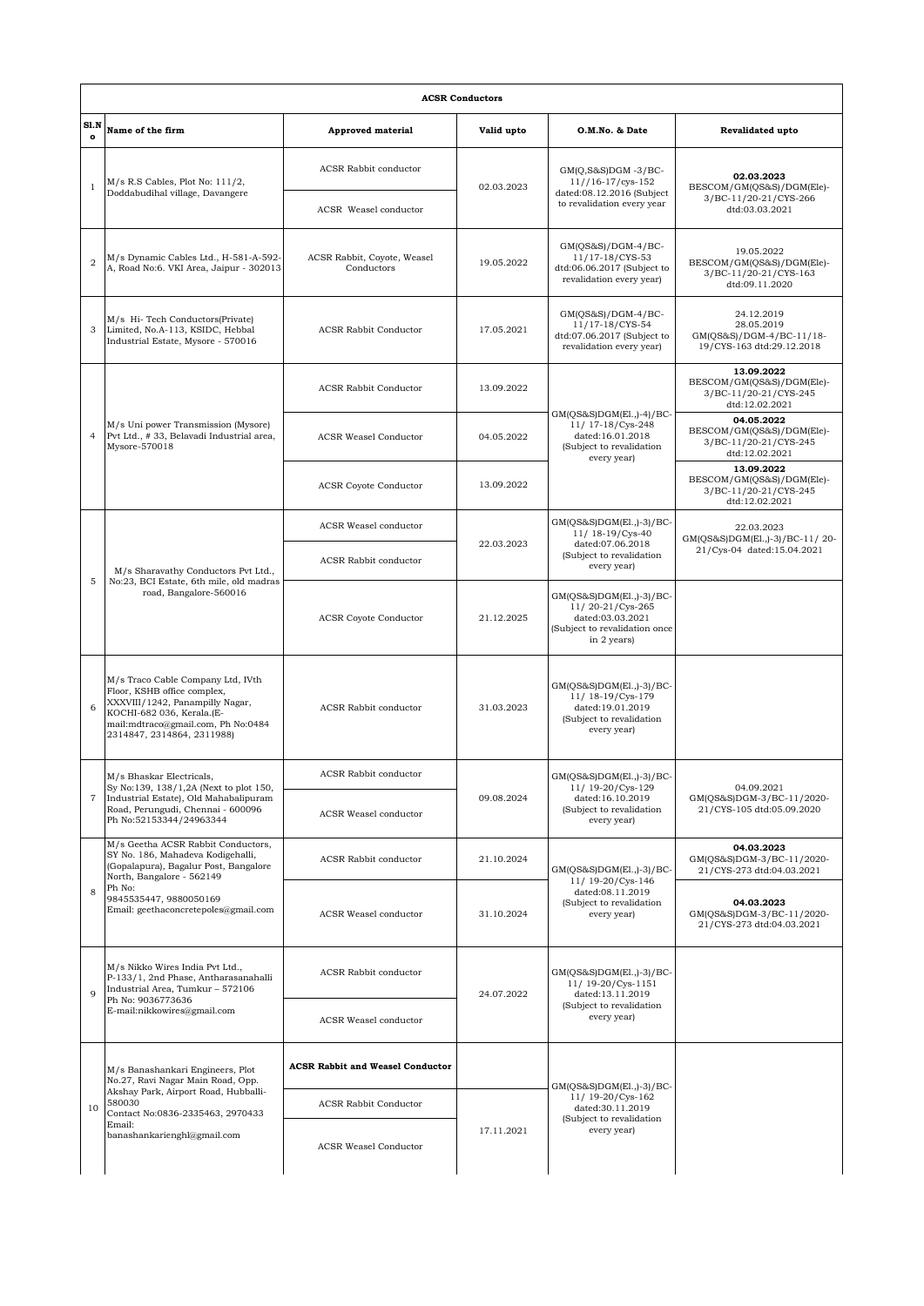| <b>ACSR Conductors</b> |                                                                                                                                                                                                                           |                                           |            |                                                                                                                  |                                                                                    |  |  |  |
|------------------------|---------------------------------------------------------------------------------------------------------------------------------------------------------------------------------------------------------------------------|-------------------------------------------|------------|------------------------------------------------------------------------------------------------------------------|------------------------------------------------------------------------------------|--|--|--|
| SLN<br>$\Omega$        | Name of the firm                                                                                                                                                                                                          | Approved material                         | Valid upto | O.M.No. & Date                                                                                                   | Revalidated upto                                                                   |  |  |  |
| $\mathbf{1}$           | $M/s$ R.S Cables, Plot No: $111/2$ ,<br>Doddabudihal village, Davangere                                                                                                                                                   | ACSR Rabbit conductor                     | 02.03.2023 | $GM(Q,S&S)DGM -3/BC-$<br>$11//16-17/cys-152$<br>dated:08.12.2016 (Subject<br>to revalidation every year          | 02.03.2023<br>BESCOM/GM(QS&S)/DGM(Ele)-<br>3/BC-11/20-21/CYS-266<br>dtd:03.03.2021 |  |  |  |
|                        |                                                                                                                                                                                                                           | ACSR Weasel conductor                     |            |                                                                                                                  |                                                                                    |  |  |  |
| $\overline{2}$         | M/s Dynamic Cables Ltd., H-581-A-592-<br>A, Road No:6. VKI Area, Jaipur - 302013                                                                                                                                          | ACSR Rabbit, Coyote, Weasel<br>Conductors | 19.05.2022 | $GM(QS&S)/DGM-4/BC-$<br>11/17-18/CYS-53<br>dtd:06.06.2017 (Subject to<br>revalidation every year)                | 19.05.2022<br>BESCOM/GM(QS&S)/DGM(Ele)-<br>3/BC-11/20-21/CYS-163<br>dtd:09.11.2020 |  |  |  |
| 3                      | M/s Hi-Tech Conductors(Private)<br>Limited, No.A-113, KSIDC, Hebbal<br>Industrial Estate, Mysore - 570016                                                                                                                 | <b>ACSR Rabbit Conductor</b>              | 17.05.2021 | $GM(QS&S)/DGM-4/BC-$<br>11/17-18/CYS-54<br>dtd:07.06.2017 (Subject to<br>revalidation every year)                | 24.12.2019<br>28.05.2019<br>GM(QS&S)/DGM-4/BC-11/18-<br>19/CYS-163 dtd:29.12.2018  |  |  |  |
|                        | M/s Uni power Transmission (Mysore)<br>Pvt Ltd., #33, Belavadi Industrial area,<br>Mysore-570018                                                                                                                          | <b>ACSR Rabbit Conductor</b>              | 13.09.2022 | $GM(QS&S)DGM(E1.,-4)/BC-$<br>11/ 17-18/Cys-248<br>dated:16.01.2018<br>(Subject to revalidation<br>every year)    | 13.09.2022<br>BESCOM/GM(QS&S)/DGM(Ele)-<br>3/BC-11/20-21/CYS-245<br>dtd:12.02.2021 |  |  |  |
| $\overline{4}$         |                                                                                                                                                                                                                           | <b>ACSR Weasel Conductor</b>              | 04.05.2022 |                                                                                                                  | 04.05.2022<br>BESCOM/GM(QS&S)/DGM(Ele)-<br>3/BC-11/20-21/CYS-245<br>dtd:12.02.2021 |  |  |  |
|                        |                                                                                                                                                                                                                           | <b>ACSR Coyote Conductor</b>              | 13.09.2022 |                                                                                                                  | 13.09.2022<br>BESCOM/GM(QS&S)/DGM(Ele)-<br>3/BC-11/20-21/CYS-245<br>dtd:12.02.2021 |  |  |  |
|                        | M/s Sharavathy Conductors Pvt Ltd.,<br>No:23, BCI Estate, 6th mile, old madras<br>road, Bangalore-560016                                                                                                                  | ACSR Weasel conductor                     |            | GM(QS&S)DGM(El.,)-3)/BC-<br>11/ 18-19/Cys-40<br>dated:07.06.2018<br>(Subject to revalidation<br>every year)      | 22.03.2023<br>GM(QS&S)DGM(E1.,)-3)/BC-11/20-                                       |  |  |  |
| 5                      |                                                                                                                                                                                                                           | ACSR Rabbit conductor                     | 22.03.2023 |                                                                                                                  | 21/Cys-04 dated:15.04.2021                                                         |  |  |  |
|                        |                                                                                                                                                                                                                           | <b>ACSR Coyote Conductor</b>              | 21.12.2025 | GM(QS&S)DGM(El.,)-3)/BC-<br>11/20-21/Cys-265<br>dated:03.03.2021<br>(Subject to revalidation once<br>in 2 years) |                                                                                    |  |  |  |
| 6                      | M/s Traco Cable Company Ltd, IVth<br>Floor, KSHB office complex,<br>XXXVIII/1242, Panampilly Nagar,<br>KOCHI-682 036, Kerala.(E-<br>mail:mdtraco@gmail.com, Ph No:0484<br>2314847, 2314864, 2311988)                      | ACSR Rabbit conductor                     | 31.03.2023 | GM(QS&S)DGM(El.,)-3)/BC-<br>11/ 18-19/Cys-179<br>dated:19.01.2019<br>(Subject to revalidation<br>every year)     |                                                                                    |  |  |  |
|                        | M/s Bhaskar Electricals,<br>Sy No:139, 138/1,2A (Next to plot 150,<br>Industrial Estate), Old Mahabalipuram<br>Road, Perungudi, Chennai - 600096<br>Ph No:52153344/24963344                                               | <b>ACSR Rabbit conductor</b>              |            | $GM(QS&S)DGM(E1,1)-3)/BC-$                                                                                       | 04.09.2021<br>GM(QS&S)DGM-3/BC-11/2020-<br>21/CYS-105 dtd:05.09.2020               |  |  |  |
| $\overline{7}$         |                                                                                                                                                                                                                           | ACSR Weasel conductor                     | 09.08.2024 | 11/ 19-20/Cys-129<br>dated:16.10.2019<br>(Subject to revalidation<br>every year)                                 |                                                                                    |  |  |  |
|                        | M/s Geetha ACSR Rabbit Conductors,<br>SY No. 186, Mahadeva Kodigehalli,<br>(Gopalapura), Bagalur Post, Bangalore<br>North, Bangalore - 562149<br>Ph No:<br>9845535447, 9880050169<br>Email: geethaconcretepoles@gmail.com | <b>ACSR Rabbit conductor</b>              | 21.10.2024 | GM(QS&S)DGM(E1.,)-3)/BC-<br>11/ 19-20/Cys-146                                                                    | 04.03.2023<br>GM(QS&S)DGM-3/BC-11/2020-<br>21/CYS-273 dtd:04.03.2021               |  |  |  |
| 8                      |                                                                                                                                                                                                                           | ACSR Weasel conductor                     | 31.10.2024 | dated:08.11.2019<br>(Subject to revalidation<br>every year)                                                      | 04.03.2023<br>GM(QS&S)DGM-3/BC-11/2020-<br>21/CYS-273 dtd:04.03.2021               |  |  |  |
| 9                      | M/s Nikko Wires India Pvt Ltd.,<br>P-133/1, 2nd Phase, Antharasanahalli<br>Industrial Area, Tumkur - 572106<br>Ph No: 9036773636<br>E-mail:nikkowires@gmail.com                                                           | ACSR Rabbit conductor                     | 24.07.2022 | GM(QS&S)DGM(El.,)-3)/BC-<br>11/ 19-20/Cys-1151<br>dated:13.11.2019                                               |                                                                                    |  |  |  |
|                        |                                                                                                                                                                                                                           | ACSR Weasel conductor                     |            | (Subject to revalidation<br>every year)                                                                          |                                                                                    |  |  |  |
|                        | M/s Banashankari Engineers, Plot<br>No.27, Ravi Nagar Main Road, Opp.<br>Akshay Park, Airport Road, Hubballi-<br>580030<br>Contact No:0836-2335463, 2970433<br>Email:<br>banashankarienghl@gmail.com                      | <b>ACSR Rabbit and Weasel Conductor</b>   |            | GM(QS&S)DGM(El.,)-3)/BC-                                                                                         |                                                                                    |  |  |  |
| 10                     |                                                                                                                                                                                                                           | <b>ACSR Rabbit Conductor</b>              |            | 11/ 19-20/Cys-162<br>dated:30.11.2019<br>(Subject to revalidation                                                |                                                                                    |  |  |  |
|                        |                                                                                                                                                                                                                           | ACSR Weasel Conductor                     | 17.11.2021 | every year)                                                                                                      |                                                                                    |  |  |  |